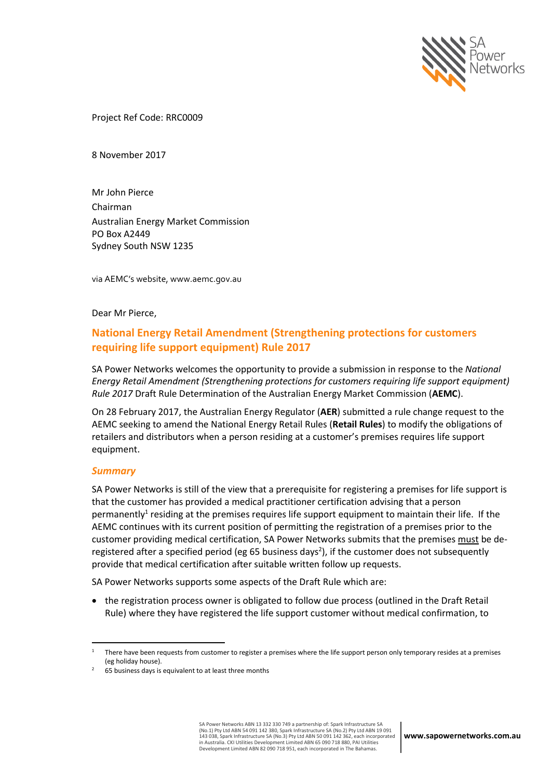

Project Ref Code: RRC0009

8 November 2017

Mr John Pierce Chairman Australian Energy Market Commission PO Box A2449 Sydney South NSW 1235

via AEMC's website, www.aemc.gov.au

Dear Mr Pierce,

# **National Energy Retail Amendment (Strengthening protections for customers requiring life support equipment) Rule 2017**

SA Power Networks welcomes the opportunity to provide a submission in response to the *National Energy Retail Amendment (Strengthening protections for customers requiring life support equipment) Rule 2017* Draft Rule Determination of the Australian Energy Market Commission (**AEMC**).

On 28 February 2017, the Australian Energy Regulator (**AER**) submitted a rule change request to the AEMC seeking to amend the National Energy Retail Rules (**Retail Rules**) to modify the obligations of retailers and distributors when a person residing at a customer's premises requires life support equipment.

### *Summary*

 $\overline{a}$ 

SA Power Networks is still of the view that a prerequisite for registering a premises for life support is that the customer has provided a medical practitioner certification advising that a person permanently<sup>1</sup> residing at the premises requires life support equipment to maintain their life. If the AEMC continues with its current position of permitting the registration of a premises prior to the customer providing medical certification, SA Power Networks submits that the premises must be deregistered after a specified period (eg 65 business days<sup>2</sup>), if the customer does not subsequently provide that medical certification after suitable written follow up requests.

SA Power Networks supports some aspects of the Draft Rule which are:

• the registration process owner is obligated to follow due process (outlined in the Draft Retail Rule) where they have registered the life support customer without medical confirmation, to

 $1$  There have been requests from customer to register a premises where the life support person only temporary resides at a premises (eg holiday house).

<sup>65</sup> business days is equivalent to at least three months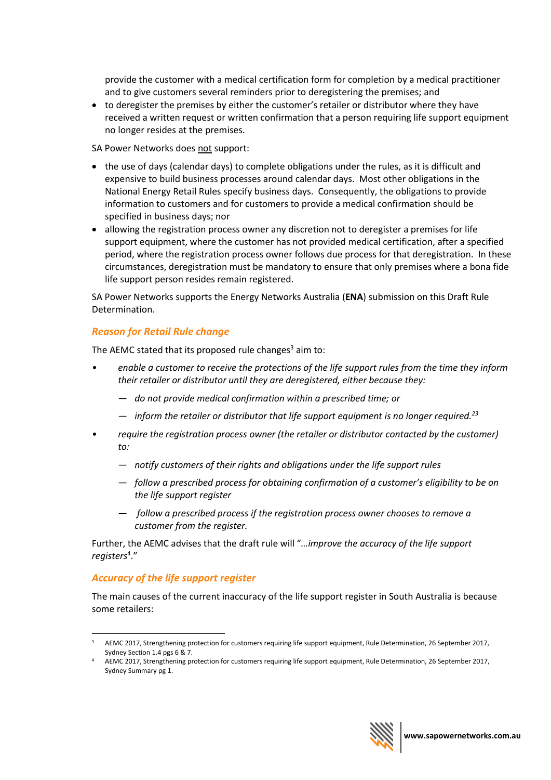provide the customer with a medical certification form for completion by a medical practitioner and to give customers several reminders prior to deregistering the premises; and

• to deregister the premises by either the customer's retailer or distributor where they have received a written request or written confirmation that a person requiring life support equipment no longer resides at the premises.

SA Power Networks does not support:

- the use of days (calendar days) to complete obligations under the rules, as it is difficult and expensive to build business processes around calendar days. Most other obligations in the National Energy Retail Rules specify business days. Consequently, the obligations to provide information to customers and for customers to provide a medical confirmation should be specified in business days; nor
- allowing the registration process owner any discretion not to deregister a premises for life support equipment, where the customer has not provided medical certification, after a specified period, where the registration process owner follows due process for that deregistration. In these circumstances, deregistration must be mandatory to ensure that only premises where a bona fide life support person resides remain registered.

SA Power Networks supports the Energy Networks Australia (**ENA**) submission on this Draft Rule Determination.

## *Reason for Retail Rule change*

The AEMC stated that its proposed rule changes $3$  aim to:

- *enable a customer to receive the protections of the life support rules from the time they inform their retailer or distributor until they are deregistered, either because they:* 
	- *do not provide medical confirmation within a prescribed time; or*
	- *inform the retailer or distributor that life support equipment is no longer required.<sup>23</sup>*
- *require the registration process owner (the retailer or distributor contacted by the customer) to:* 
	- *notify customers of their rights and obligations under the life support rules*
	- *follow a prescribed process for obtaining confirmation of a customer's eligibility to be on the life support register*
	- *follow a prescribed process if the registration process owner chooses to remove a customer from the register.*

Further, the AEMC advises that the draft rule will "*…improve the accuracy of the life support registers*<sup>4</sup> ."

### *Accuracy of the life support register*

 $\overline{a}$ 

The main causes of the current inaccuracy of the life support register in South Australia is because some retailers:



<sup>3</sup> AEMC 2017, Strengthening protection for customers requiring life support equipment, Rule Determination, 26 September 2017, Sydney Section 1.4 pgs 6 & 7.

AEMC 2017, Strengthening protection for customers requiring life support equipment, Rule Determination, 26 September 2017, Sydney Summary pg 1.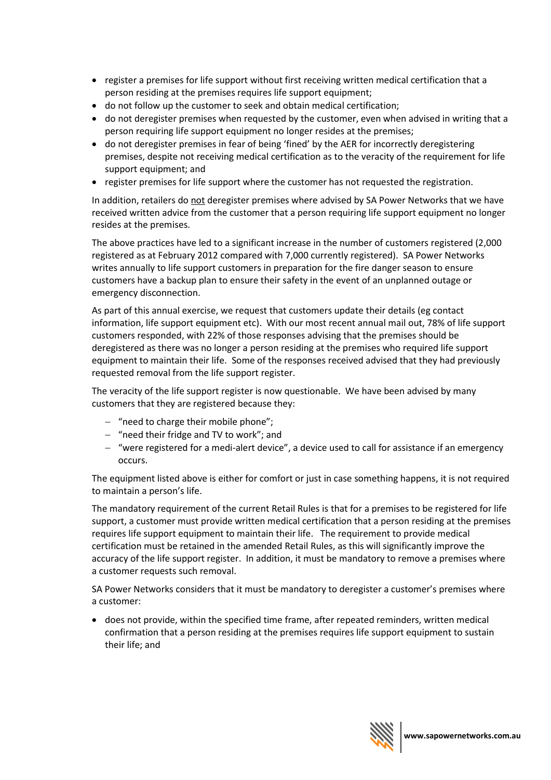- register a premises for life support without first receiving written medical certification that a person residing at the premises requires life support equipment;
- do not follow up the customer to seek and obtain medical certification;
- do not deregister premises when requested by the customer, even when advised in writing that a person requiring life support equipment no longer resides at the premises;
- do not deregister premises in fear of being 'fined' by the AER for incorrectly deregistering premises, despite not receiving medical certification as to the veracity of the requirement for life support equipment; and
- register premises for life support where the customer has not requested the registration.

In addition, retailers do not deregister premises where advised by SA Power Networks that we have received written advice from the customer that a person requiring life support equipment no longer resides at the premises.

The above practices have led to a significant increase in the number of customers registered (2,000 registered as at February 2012 compared with 7,000 currently registered). SA Power Networks writes annually to life support customers in preparation for the fire danger season to ensure customers have a backup plan to ensure their safety in the event of an unplanned outage or emergency disconnection.

As part of this annual exercise, we request that customers update their details (eg contact information, life support equipment etc). With our most recent annual mail out, 78% of life support customers responded, with 22% of those responses advising that the premises should be deregistered as there was no longer a person residing at the premises who required life support equipment to maintain their life. Some of the responses received advised that they had previously requested removal from the life support register.

The veracity of the life support register is now questionable. We have been advised by many customers that they are registered because they:

- "need to charge their mobile phone";
- "need their fridge and TV to work"; and
- "were registered for a medi-alert device", a device used to call for assistance if an emergency occurs.

The equipment listed above is either for comfort or just in case something happens, it is not required to maintain a person's life.

The mandatory requirement of the current Retail Rules is that for a premises to be registered for life support, a customer must provide written medical certification that a person residing at the premises requires life support equipment to maintain their life. The requirement to provide medical certification must be retained in the amended Retail Rules, as this will significantly improve the accuracy of the life support register. In addition, it must be mandatory to remove a premises where a customer requests such removal.

SA Power Networks considers that it must be mandatory to deregister a customer's premises where a customer:

• does not provide, within the specified time frame, after repeated reminders, written medical confirmation that a person residing at the premises requires life support equipment to sustain their life; and